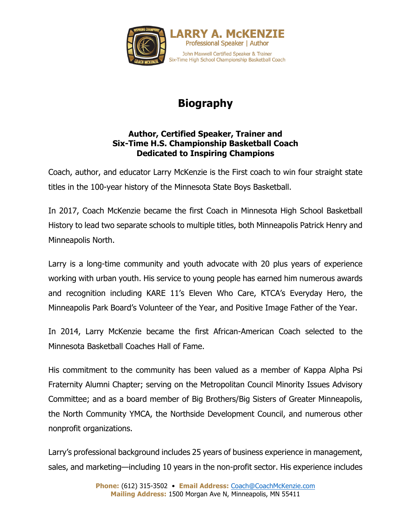

## **Biography**

## **Author, Certified Speaker, Trainer and Six-Time H.S. Championship Basketball Coach Dedicated to Inspiring Champions**

Coach, author, and educator Larry McKenzie is the First coach to win four straight state titles in the 100-year history of the Minnesota State Boys Basketball.

In 2017, Coach McKenzie became the first Coach in Minnesota High School Basketball History to lead two separate schools to multiple titles, both Minneapolis Patrick Henry and Minneapolis North.

Larry is a long-time community and youth advocate with 20 plus years of experience working with urban youth. His service to young people has earned him numerous awards and recognition including KARE 11's Eleven Who Care, KTCA's Everyday Hero, the Minneapolis Park Board's Volunteer of the Year, and Positive Image Father of the Year.

In 2014, Larry McKenzie became the first African-American Coach selected to the Minnesota Basketball Coaches Hall of Fame.

His commitment to the community has been valued as a member of Kappa Alpha Psi Fraternity Alumni Chapter; serving on the Metropolitan Council Minority Issues Advisory Committee; and as a board member of Big Brothers/Big Sisters of Greater Minneapolis, the North Community YMCA, the Northside Development Council, and numerous other nonprofit organizations.

Larry's professional background includes 25 years of business experience in management, sales, and marketing—including 10 years in the non-profit sector. His experience includes